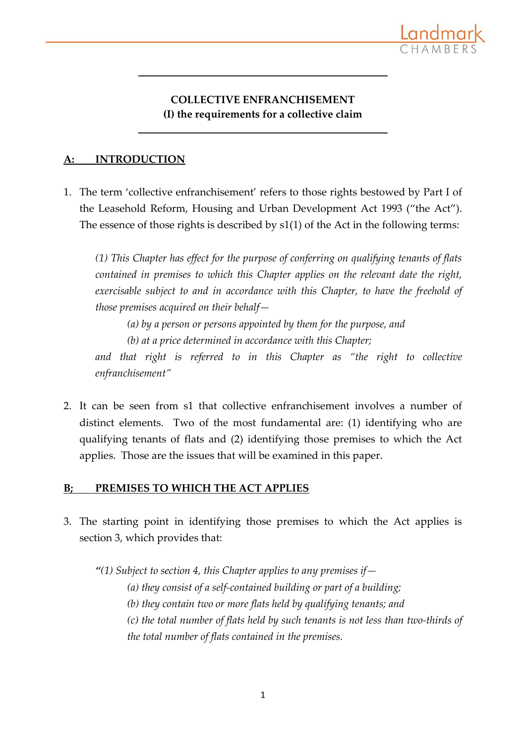

## **COLLECTIVE ENFRANCHISEMENT (I) the requirements for a collective claim**

**\_\_\_\_\_\_\_\_\_\_\_\_\_\_\_\_\_\_\_\_\_\_\_\_\_\_\_\_\_\_\_\_\_\_\_\_\_\_\_\_\_\_\_\_\_\_\_**

**\_\_\_\_\_\_\_\_\_\_\_\_\_\_\_\_\_\_\_\_\_\_\_\_\_\_\_\_\_\_\_\_\_\_\_\_\_\_\_\_\_\_\_\_\_\_\_**

### **A: INTRODUCTION**

1. The term 'collective enfranchisement' refers to those rights bestowed by Part I of the Leasehold Reform, Housing and Urban Development Act 1993 ("the Act"). The essence of those rights is described by s1(1) of the Act in the following terms:

*(1) This Chapter has effect for the purpose of conferring on qualifying tenants of flats contained in premises to which this Chapter applies on the relevant date the right, exercisable subject to and in accordance with this Chapter, to have the freehold of those premises acquired on their behalf—*

*(a) by a person or persons appointed by them for the purpose, and*

*(b) at a price determined in accordance with this Chapter;*

and that right is referred to in this Chapter as "the right to collective *enfranchisement"*

2. It can be seen from s1 that collective enfranchisement involves a number of distinct elements. Two of the most fundamental are: (1) identifying who are qualifying tenants of flats and (2) identifying those premises to which the Act applies. Those are the issues that will be examined in this paper.

## **B; PREMISES TO WHICH THE ACT APPLIES**

3. The starting point in identifying those premises to which the Act applies is section 3, which provides that:

*"(1) Subject to section 4, this Chapter applies to any premises if—*

*(a) they consist of a self-contained building or part of a building;*

*(b) they contain two or more flats held by qualifying tenants; and*

*(c) the total number of flats held by such tenants is not less than two-thirds of the total number of flats contained in the premises.*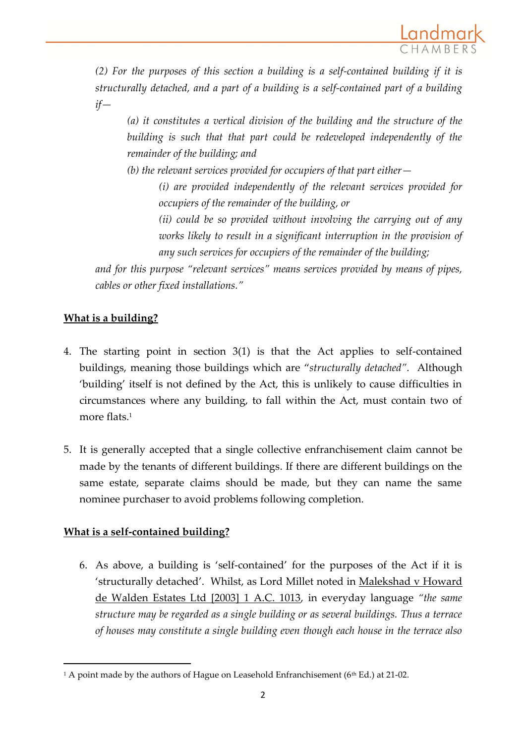

*(2) For the purposes of this section a building is a self-contained building if it is structurally detached, and a part of a building is a self-contained part of a building if—*

*(a) it constitutes a vertical division of the building and the structure of the building is such that that part could be redeveloped independently of the remainder of the building; and*

*(b) the relevant services provided for occupiers of that part either—*

*(i) are provided independently of the relevant services provided for occupiers of the remainder of the building, or*

*(ii) could be so provided without involving the carrying out of any works likely to result in a significant interruption in the provision of any such services for occupiers of the remainder of the building;*

*and for this purpose "relevant services" means services provided by means of pipes, cables or other fixed installations."*

# **What is a building?**

- 4. The starting point in section 3(1) is that the Act applies to self-contained buildings, meaning those buildings which are "*structurally detached"*. Although 'building' itself is not defined by the Act, this is unlikely to cause difficulties in circumstances where any building, to fall within the Act, must contain two of more flats.<sup>1</sup>
- 5. It is generally accepted that a single collective enfranchisement claim cannot be made by the tenants of different buildings. If there are different buildings on the same estate, separate claims should be made, but they can name the same nominee purchaser to avoid problems following completion.

# **What is a self-contained building?**

 $\overline{a}$ 

6. As above, a building is 'self-contained' for the purposes of the Act if it is 'structurally detached'. Whilst, as Lord Millet noted in Malekshad v Howard de Walden Estates Ltd [2003] 1 A.C. 1013, in everyday language *"the same structure may be regarded as a single building or as several buildings. Thus a terrace of houses may constitute a single building even though each house in the terrace also* 

<sup>&</sup>lt;sup>1</sup> A point made by the authors of Hague on Leasehold Enfranchisement ( $6<sup>th</sup> Ed$ .) at 21-02.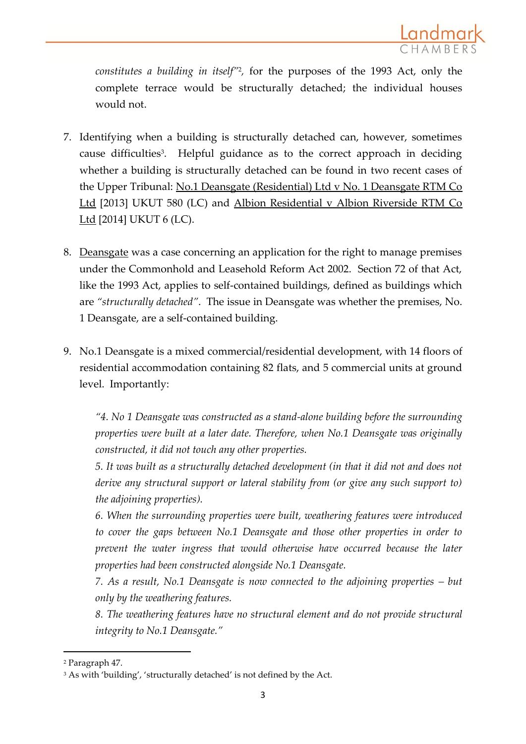

*constitutes a building in itself"*<sup>2</sup> *,* for the purposes of the 1993 Act, only the complete terrace would be structurally detached; the individual houses would not.

- 7. Identifying when a building is structurally detached can, however, sometimes cause difficulties 3 . Helpful guidance as to the correct approach in deciding whether a building is structurally detached can be found in two recent cases of the Upper Tribunal: No.1 Deansgate (Residential) Ltd v No. 1 Deansgate RTM Co Ltd [2013] UKUT 580 (LC) and Albion Residential v Albion Riverside RTM Co Ltd [2014] UKUT 6 (LC).
- 8. Deansgate was a case concerning an application for the right to manage premises under the Commonhold and Leasehold Reform Act 2002. Section 72 of that Act, like the 1993 Act, applies to self-contained buildings, defined as buildings which are *"structurally detached"*. The issue in Deansgate was whether the premises, No. 1 Deansgate, are a self-contained building.
- 9. No.1 Deansgate is a mixed commercial/residential development, with 14 floors of residential accommodation containing 82 flats, and 5 commercial units at ground level. Importantly:

*"4. No 1 Deansgate was constructed as a stand-alone building before the surrounding properties were built at a later date. Therefore, when No.1 Deansgate was originally constructed, it did not touch any other properties.*

*5. It was built as a structurally detached development (in that it did not and does not derive any structural support or lateral stability from (or give any such support to) the adjoining properties).*

*6. When the surrounding properties were built, weathering features were introduced to cover the gaps between No.1 Deansgate and those other properties in order to prevent the water ingress that would otherwise have occurred because the later properties had been constructed alongside No.1 Deansgate.*

*7. As a result, No.1 Deansgate is now connected to the adjoining properties – but only by the weathering features.*

*8. The weathering features have no structural element and do not provide structural integrity to No.1 Deansgate."*

<sup>2</sup> Paragraph 47.

<sup>&</sup>lt;sup>3</sup> As with 'building', 'structurally detached' is not defined by the Act.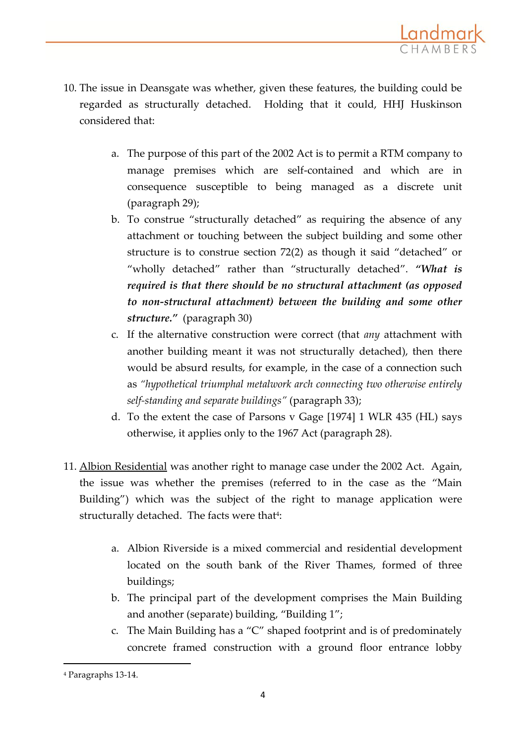

- 10. The issue in Deansgate was whether, given these features, the building could be regarded as structurally detached. Holding that it could, HHJ Huskinson considered that:
	- a. The purpose of this part of the 2002 Act is to permit a RTM company to manage premises which are self-contained and which are in consequence susceptible to being managed as a discrete unit (paragraph 29);
	- b. To construe "structurally detached" as requiring the absence of any attachment or touching between the subject building and some other structure is to construe section 72(2) as though it said "detached" or "wholly detached" rather than "structurally detached". *"What is required is that there should be no structural attachment (as opposed to non-structural attachment) between the building and some other structure."* (paragraph 30)
	- c. If the alternative construction were correct (that *any* attachment with another building meant it was not structurally detached), then there would be absurd results, for example, in the case of a connection such as *"hypothetical triumphal metalwork arch connecting two otherwise entirely self-standing and separate buildings"* (paragraph 33);
	- d. To the extent the case of Parsons v Gage [1974] 1 WLR 435 (HL) says otherwise, it applies only to the 1967 Act (paragraph 28).
- 11. Albion Residential was another right to manage case under the 2002 Act. Again, the issue was whether the premises (referred to in the case as the "Main Building") which was the subject of the right to manage application were structurally detached. The facts were that<sup>4</sup>:
	- a. Albion Riverside is a mixed commercial and residential development located on the south bank of the River Thames, formed of three buildings;
	- b. The principal part of the development comprises the Main Building and another (separate) building, "Building 1";
	- c. The Main Building has a "C" shaped footprint and is of predominately concrete framed construction with a ground floor entrance lobby

<sup>4</sup> Paragraphs 13-14.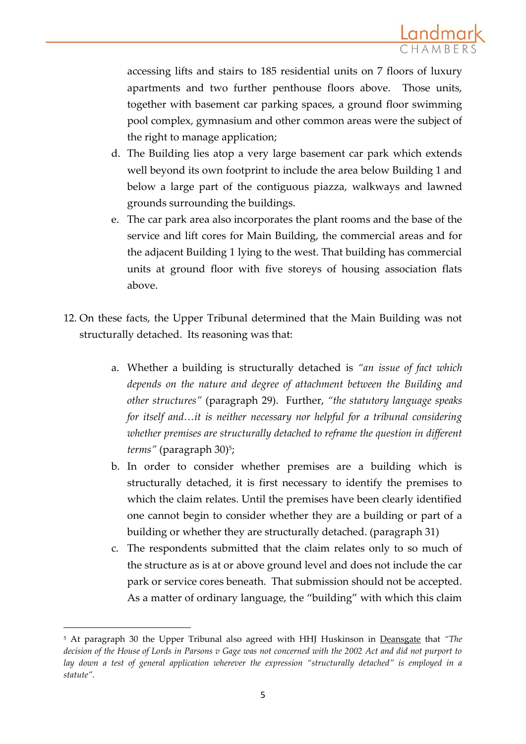

accessing lifts and stairs to 185 residential units on 7 floors of luxury apartments and two further penthouse floors above. Those units, together with basement car parking spaces, a ground floor swimming pool complex, gymnasium and other common areas were the subject of the right to manage application;

- d. The Building lies atop a very large basement car park which extends well beyond its own footprint to include the area below Building 1 and below a large part of the contiguous piazza, walkways and lawned grounds surrounding the buildings.
- e. The car park area also incorporates the plant rooms and the base of the service and lift cores for Main Building, the commercial areas and for the adjacent Building 1 lying to the west. That building has commercial units at ground floor with five storeys of housing association flats above.
- 12. On these facts, the Upper Tribunal determined that the Main Building was not structurally detached. Its reasoning was that:
	- a. Whether a building is structurally detached is *"an issue of fact which depends on the nature and degree of attachment between the Building and other structures"* (paragraph 29). Further, *"the statutory language speaks for itself and…it is neither necessary nor helpful for a tribunal considering whether premises are structurally detached to reframe the question in different terms"* (paragraph 30)<sup>5</sup> ;
	- b. In order to consider whether premises are a building which is structurally detached, it is first necessary to identify the premises to which the claim relates. Until the premises have been clearly identified one cannot begin to consider whether they are a building or part of a building or whether they are structurally detached. (paragraph 31)
	- c. The respondents submitted that the claim relates only to so much of the structure as is at or above ground level and does not include the car park or service cores beneath. That submission should not be accepted. As a matter of ordinary language, the "building" with which this claim

<sup>5</sup> At paragraph 30 the Upper Tribunal also agreed with HHJ Huskinson in Deansgate that *"The decision of the House of Lords in Parsons v Gage was not concerned with the 2002 Act and did not purport to lay down a test of general application wherever the expression "structurally detached" is employed in a statute".*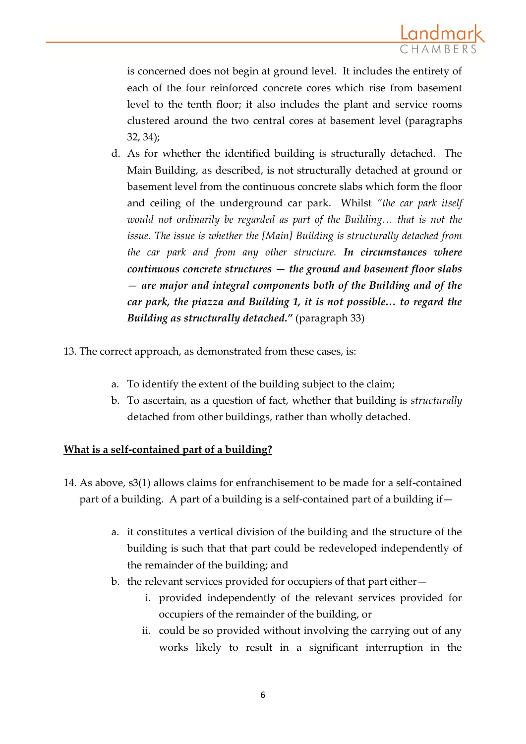

is concerned does not begin at ground level. It includes the entirety of each of the four reinforced concrete cores which rise from basement level to the tenth floor; it also includes the plant and service rooms clustered around the two central cores at basement level (paragraphs 32, 34);

- d. As for whether the identified building is structurally detached. The Main Building, as described, is not structurally detached at ground or basement level from the continuous concrete slabs which form the floor and ceiling of the underground car park. Whilst *"the car park itself would not ordinarily be regarded as part of the Building… that is not the issue. The issue is whether the [Main] Building is structurally detached from the car park and from any other structure. In circumstances where continuous concrete structures — the ground and basement floor slabs — are major and integral components both of the Building and of the car park, the piazza and Building 1, it is not possible… to regard the Building as structurally detached."* (paragraph 33)
- 13. The correct approach, as demonstrated from these cases, is:
	- a. To identify the extent of the building subject to the claim;
	- b. To ascertain, as a question of fact, whether that building is *structurally* detached from other buildings, rather than wholly detached.

#### **What is a self-contained part of a building?**

- 14. As above, s3(1) allows claims for enfranchisement to be made for a self-contained part of a building. A part of a building is a self-contained part of a building if
	- a. it constitutes a vertical division of the building and the structure of the building is such that that part could be redeveloped independently of the remainder of the building; and
	- b. the relevant services provided for occupiers of that part either
		- i. provided independently of the relevant services provided for occupiers of the remainder of the building, or
		- ii. could be so provided without involving the carrying out of any works likely to result in a significant interruption in the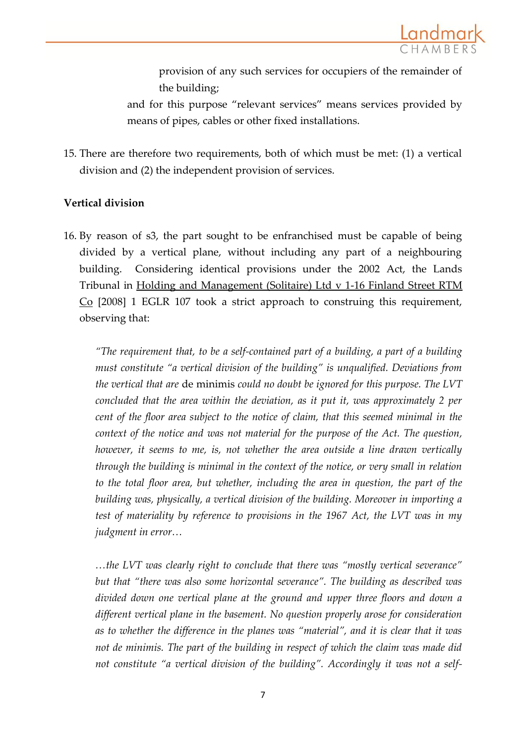

provision of any such services for occupiers of the remainder of the building;

and for this purpose "relevant services" means services provided by means of pipes, cables or other fixed installations.

15. There are therefore two requirements, both of which must be met: (1) a vertical division and (2) the independent provision of services.

#### **Vertical division**

16. By reason of s3, the part sought to be enfranchised must be capable of being divided by a vertical plane, without including any part of a neighbouring building. Considering identical provisions under the 2002 Act, the Lands Tribunal in Holding and Management (Solitaire) Ltd v 1-16 Finland Street RTM Co [2008] 1 EGLR 107 took a strict approach to construing this requirement, observing that:

*"The requirement that, to be a self-contained part of a building, a part of a building must constitute "a vertical division of the building" is unqualified. Deviations from the vertical that are* de minimis *could no doubt be ignored for this purpose. The LVT concluded that the area within the deviation, as it put it, was approximately 2 per cent of the floor area subject to the notice of claim, that this seemed minimal in the context of the notice and was not material for the purpose of the Act. The question, however, it seems to me, is, not whether the area outside a line drawn vertically through the building is minimal in the context of the notice, or very small in relation to the total floor area, but whether, including the area in question, the part of the building was, physically, a vertical division of the building. Moreover in importing a test of materiality by reference to provisions in the 1967 Act, the LVT was in my judgment in error…*

*…the LVT was clearly right to conclude that there was "mostly vertical severance" but that "there was also some horizontal severance". The building as described was divided down one vertical plane at the ground and upper three floors and down a different vertical plane in the basement. No question properly arose for consideration as to whether the difference in the planes was "material", and it is clear that it was not de minimis. The part of the building in respect of which the claim was made did not constitute "a vertical division of the building". Accordingly it was not a self-*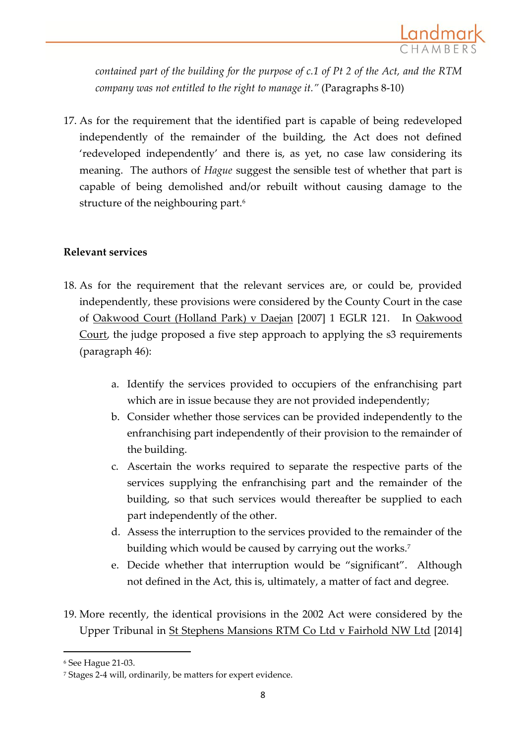

*contained part of the building for the purpose of c.1 of Pt 2 of the Act, and the RTM company was not entitled to the right to manage it."* (Paragraphs 8-10)

17. As for the requirement that the identified part is capable of being redeveloped independently of the remainder of the building, the Act does not defined 'redeveloped independently' and there is, as yet, no case law considering its meaning. The authors of *Hague* suggest the sensible test of whether that part is capable of being demolished and/or rebuilt without causing damage to the structure of the neighbouring part.<sup>6</sup>

## **Relevant services**

- 18. As for the requirement that the relevant services are, or could be, provided independently, these provisions were considered by the County Court in the case of Oakwood Court (Holland Park) v Daejan [2007] 1 EGLR 121. In Oakwood Court, the judge proposed a five step approach to applying the s3 requirements (paragraph 46):
	- a. Identify the services provided to occupiers of the enfranchising part which are in issue because they are not provided independently;
	- b. Consider whether those services can be provided independently to the enfranchising part independently of their provision to the remainder of the building.
	- c. Ascertain the works required to separate the respective parts of the services supplying the enfranchising part and the remainder of the building, so that such services would thereafter be supplied to each part independently of the other.
	- d. Assess the interruption to the services provided to the remainder of the building which would be caused by carrying out the works.<sup>7</sup>
	- e. Decide whether that interruption would be "significant". Although not defined in the Act, this is, ultimately, a matter of fact and degree.
- 19. More recently, the identical provisions in the 2002 Act were considered by the Upper Tribunal in St Stephens Mansions RTM Co Ltd v Fairhold NW Ltd [2014]

<sup>6</sup> See Hague 21-03.

<sup>7</sup> Stages 2-4 will, ordinarily, be matters for expert evidence.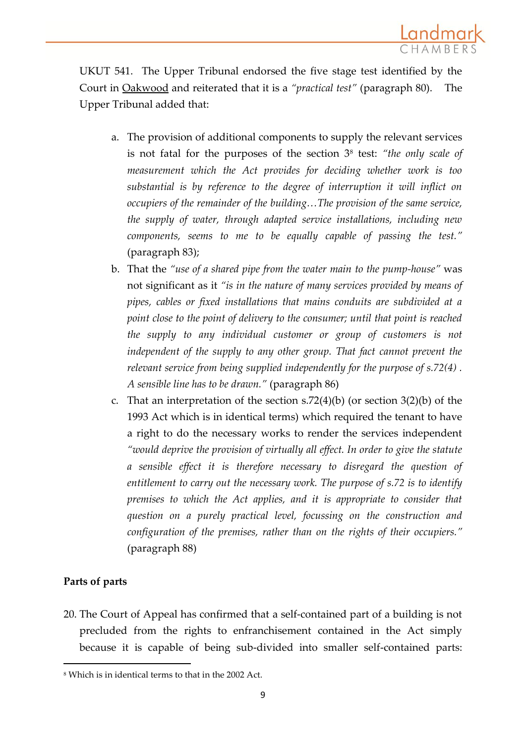

UKUT 541. The Upper Tribunal endorsed the five stage test identified by the Court in Oakwood and reiterated that it is a *"practical test"* (paragraph 80). The Upper Tribunal added that:

- a. The provision of additional components to supply the relevant services is not fatal for the purposes of the section 3<sup>8</sup> test: *"the only scale of measurement which the Act provides for deciding whether work is too substantial is by reference to the degree of interruption it will inflict on occupiers of the remainder of the building…The provision of the same service, the supply of water, through adapted service installations, including new components, seems to me to be equally capable of passing the test."* (paragraph 83);
- b. That the *"use of a shared pipe from the water main to the pump-house"* was not significant as it *"is in the nature of many services provided by means of pipes, cables or fixed installations that mains conduits are subdivided at a point close to the point of delivery to the consumer; until that point is reached the supply to any individual customer or group of customers is not independent of the supply to any other group. That fact cannot prevent the relevant service from being supplied independently for the purpose of [s.72\(4\)](http://login.westlaw.co.uk/maf/wluk/app/document?src=doc&linktype=ref&context=33&crumb-action=replace&docguid=I0ACA9230E45211DA8D70A0E70A78ED65) . A sensible line has to be drawn."* (paragraph 86)
- c. That an interpretation of the section [s.72\(4\)\(b\)](http://login.westlaw.co.uk/maf/wluk/app/document?src=doc&linktype=ref&context=33&crumb-action=replace&docguid=I0ACA9230E45211DA8D70A0E70A78ED65) (or section 3(2)(b) of the 1993 Act which is in identical terms) which required the tenant to have a right to do the necessary works to render the services independent *"would deprive the provision of virtually all effect. In order to give the statute a sensible effect it is therefore necessary to disregard the question of entitlement to carry out the necessary work. The purpose of [s.72](http://login.westlaw.co.uk/maf/wluk/app/document?src=doc&linktype=ref&context=33&crumb-action=replace&docguid=I0ACA9230E45211DA8D70A0E70A78ED65) is to identify premises to which the Act applies, and it is appropriate to consider that question on a purely practical level, focussing on the construction and configuration of the premises, rather than on the rights of their occupiers."* (paragraph 88)

#### **Parts of parts**

 $\overline{a}$ 

20. The Court of Appeal has confirmed that a self-contained part of a building is not precluded from the rights to enfranchisement contained in the Act simply because it is capable of being sub-divided into smaller self-contained parts:

<sup>8</sup> Which is in identical terms to that in the 2002 Act.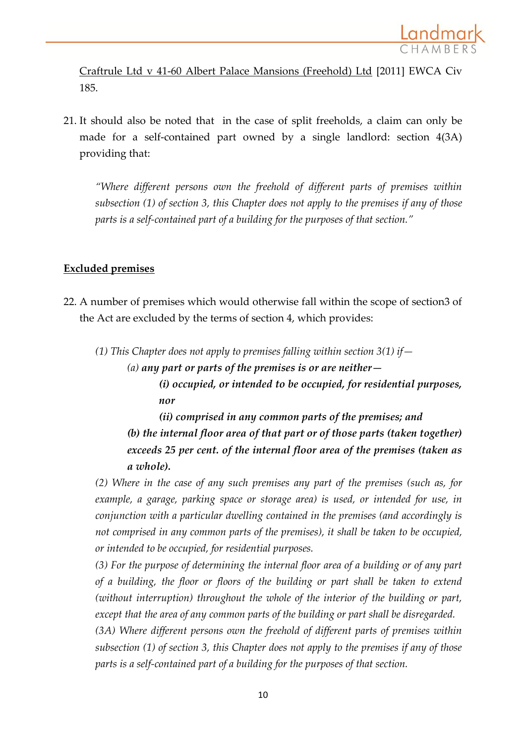

Craftrule Ltd v 41-60 Albert Palace Mansions (Freehold) Ltd [2011] EWCA Civ 185.

21. It should also be noted that in the case of split freeholds, a claim can only be made for a self-contained part owned by a single landlord: section 4(3A) providing that:

*"Where different persons own the freehold of different parts of premises within subsection (1) of section 3, this Chapter does not apply to the premises if any of those parts is a self-contained part of a building for the purposes of that section."*

### **Excluded premises**

22. A number of premises which would otherwise fall within the scope of section3 of the Act are excluded by the terms of section 4, which provides:

*(1) This Chapter does not apply to premises falling within section 3(1) if—*

*(a) any part or parts of the premises is or are neither— (i) occupied, or intended to be occupied, for residential purposes, nor*

*(ii) comprised in any common parts of the premises; and (b) the internal floor area of that part or of those parts (taken together) exceeds 25 per cent. of the internal floor area of the premises (taken as a whole).*

*(2) Where in the case of any such premises any part of the premises (such as, for example, a garage, parking space or storage area) is used, or intended for use, in conjunction with a particular dwelling contained in the premises (and accordingly is not comprised in any common parts of the premises), it shall be taken to be occupied, or intended to be occupied, for residential purposes.*

*(3) For the purpose of determining the internal floor area of a building or of any part of a building, the floor or floors of the building or part shall be taken to extend (without interruption) throughout the whole of the interior of the building or part, except that the area of any common parts of the building or part shall be disregarded.*

*(3A) Where different persons own the freehold of different parts of premises within subsection (1) of section 3, this Chapter does not apply to the premises if any of those parts is a self-contained part of a building for the purposes of that section.*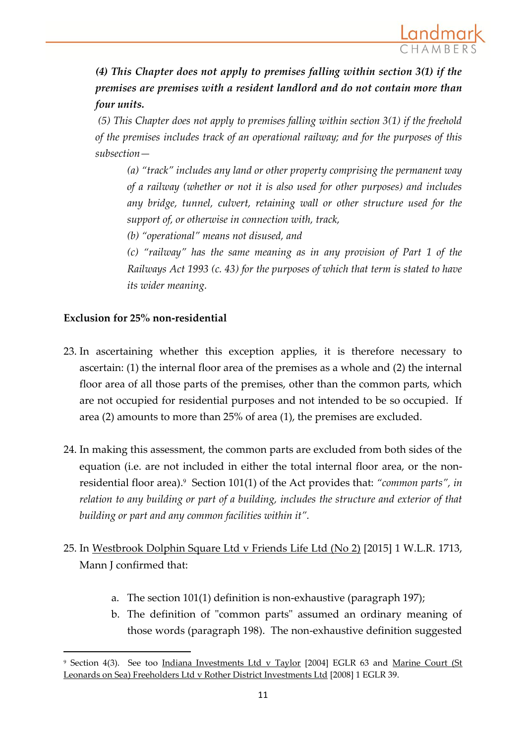

*(4) This Chapter does not apply to premises falling within section 3(1) if the premises are premises with a resident landlord and do not contain more than four units.*

*(5) This Chapter does not apply to premises falling within section 3(1) if the freehold of the premises includes track of an operational railway; and for the purposes of this subsection—*

*(a) "track" includes any land or other property comprising the permanent way of a railway (whether or not it is also used for other purposes) and includes any bridge, tunnel, culvert, retaining wall or other structure used for the support of, or otherwise in connection with, track,*

*(b) "operational" means not disused, and*

*(c) "railway" has the same meaning as in any provision of Part 1 of the Railways Act 1993 (c. 43) for the purposes of which that term is stated to have its wider meaning.*

### **Exclusion for 25% non-residential**

- 23. In ascertaining whether this exception applies, it is therefore necessary to ascertain: (1) the internal floor area of the premises as a whole and (2) the internal floor area of all those parts of the premises, other than the common parts, which are not occupied for residential purposes and not intended to be so occupied. If area (2) amounts to more than 25% of area (1), the premises are excluded.
- 24. In making this assessment, the common parts are excluded from both sides of the equation (i.e. are not included in either the total internal floor area, or the nonresidential floor area).<sup>9</sup> Section 101(1) of the Act provides that: *"common parts", in relation to any building or part of a building, includes the structure and exterior of that building or part and any common facilities within it".*
- 25. In Westbrook Dolphin Square Ltd v Friends Life Ltd (No 2) [2015] 1 W.L.R. 1713, Mann J confirmed that:
	- a. The section 101(1) definition is non-exhaustive (paragraph 197);
	- b. The definition of "common parts" assumed an ordinary meaning of those words (paragraph 198). The non-exhaustive definition suggested

<sup>9</sup> Section 4(3). See too Indiana Investments Ltd v Taylor [2004] EGLR 63 and Marine Court (St Leonards on Sea) Freeholders Ltd v Rother District Investments Ltd [2008] 1 EGLR 39.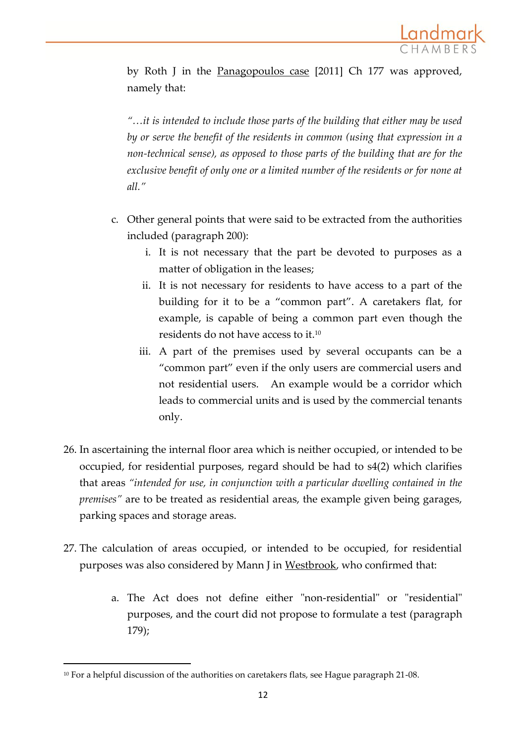

by Roth J in the Panagopoulos case [2011] Ch 177 was approved, namely that:

*"…it is intended to include those parts of the building that either may be used by or serve the benefit of the residents in common (using that expression in a non-technical sense), as opposed to those parts of the building that are for the exclusive benefit of only one or a limited number of the residents or for none at all."*

- c. Other general points that were said to be extracted from the authorities included (paragraph 200):
	- i. It is not necessary that the part be devoted to purposes as a matter of obligation in the leases;
	- ii. It is not necessary for residents to have access to a part of the building for it to be a "common part". A caretakers flat, for example, is capable of being a common part even though the residents do not have access to it.<sup>10</sup>
	- iii. A part of the premises used by several occupants can be a "common part" even if the only users are commercial users and not residential users. An example would be a corridor which leads to commercial units and is used by the commercial tenants only.
- 26. In ascertaining the internal floor area which is neither occupied, or intended to be occupied, for residential purposes, regard should be had to s4(2) which clarifies that areas *"intended for use, in conjunction with a particular dwelling contained in the premises"* are to be treated as residential areas, the example given being garages, parking spaces and storage areas.
- 27. The calculation of areas occupied, or intended to be occupied, for residential purposes was also considered by Mann J in Westbrook, who confirmed that:
	- a. The Act does not define either "non-residential" or "residential" purposes, and the court did not propose to formulate a test (paragraph 179);

<sup>&</sup>lt;sup>10</sup> For a helpful discussion of the authorities on caretakers flats, see Hague paragraph 21-08.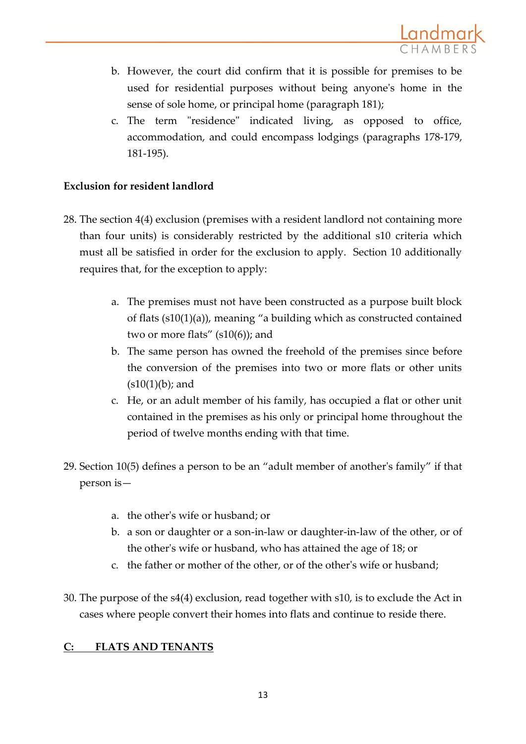

- b. However, the court did confirm that it is possible for premises to be used for residential purposes without being anyone's home in the sense of sole home, or principal home (paragraph 181);
- c. The term "residence" indicated living, as opposed to office, accommodation, and could encompass lodgings (paragraphs 178-179, 181-195).

## **Exclusion for resident landlord**

- 28. The section 4(4) exclusion (premises with a resident landlord not containing more than four units) is considerably restricted by the additional s10 criteria which must all be satisfied in order for the exclusion to apply. Section 10 additionally requires that, for the exception to apply:
	- a. The premises must not have been constructed as a purpose built block of flats (s10(1)(a)), meaning "a building which as constructed contained two or more flats" (s10(6)); and
	- b. The same person has owned the freehold of the premises since before the conversion of the premises into two or more flats or other units  $(s10(1)(b))$ ; and
	- c. He, or an adult member of his family, has occupied a flat or other unit contained in the premises as his only or principal home throughout the period of twelve months ending with that time.
- 29. Section 10(5) defines a person to be an "adult member of another's family" if that person is
	- a. the other's wife or husband; or
	- b. a son or daughter or a son-in-law or daughter-in-law of the other, or of the other's wife or husband, who has attained the age of 18; or
	- c. the father or mother of the other, or of the other's wife or husband;
- 30. The purpose of the s4(4) exclusion, read together with s10, is to exclude the Act in cases where people convert their homes into flats and continue to reside there.

# **C: FLATS AND TENANTS**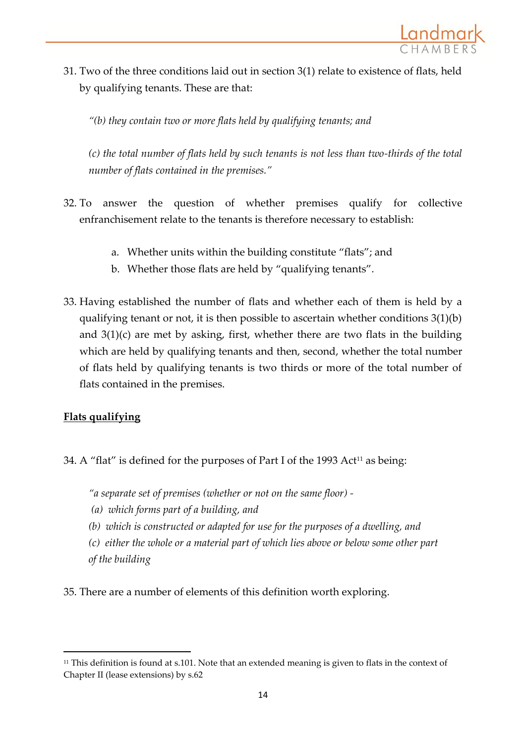

31. Two of the three conditions laid out in section 3(1) relate to existence of flats, held by qualifying tenants. These are that:

*"(b) they contain two or more flats held by qualifying tenants; and*

*(c) the total number of flats held by such tenants is not less than two-thirds of the total number of flats contained in the premises."*

- 32. To answer the question of whether premises qualify for collective enfranchisement relate to the tenants is therefore necessary to establish:
	- a. Whether units within the building constitute "flats"; and
	- b. Whether those flats are held by "qualifying tenants".
- 33. Having established the number of flats and whether each of them is held by a qualifying tenant or not, it is then possible to ascertain whether conditions 3(1)(b) and 3(1)(c) are met by asking, first, whether there are two flats in the building which are held by qualifying tenants and then, second, whether the total number of flats held by qualifying tenants is two thirds or more of the total number of flats contained in the premises.

# **Flats qualifying**

1

34. A "flat" is defined for the purposes of Part I of the 1993 Act<sup>11</sup> as being:

*"a separate set of premises (whether or not on the same floor) -*

- *(a) which forms part of a building, and*
- *(b) which is constructed or adapted for use for the purposes of a dwelling, and*

*(c) either the whole or a material part of which lies above or below some other part of the building*

35. There are a number of elements of this definition worth exploring.

<sup>11</sup> This definition is found at s.101. Note that an extended meaning is given to flats in the context of Chapter II (lease extensions) by s.62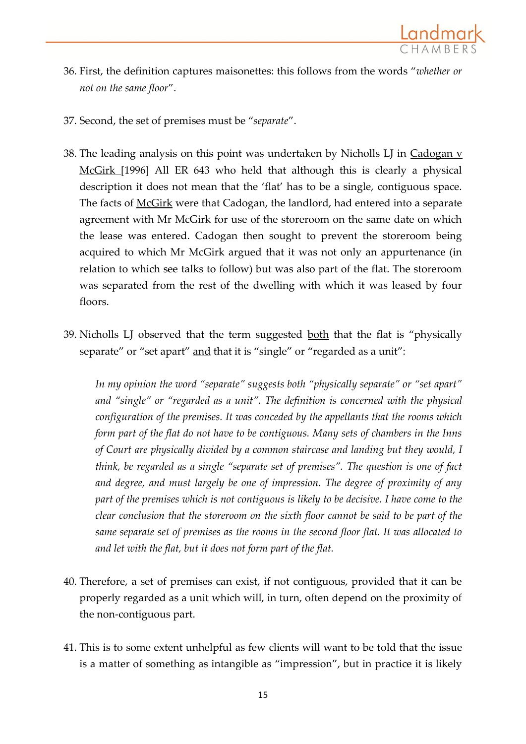

- 36. First, the definition captures maisonettes: this follows from the words "*whether or not on the same floor*".
- 37. Second, the set of premises must be "*separate*".
- 38. The leading analysis on this point was undertaken by Nicholls LJ in  $Cadogan$  v McGirk [1996] All ER 643 who held that although this is clearly a physical description it does not mean that the 'flat' has to be a single, contiguous space. The facts of McGirk were that Cadogan, the landlord, had entered into a separate agreement with Mr McGirk for use of the storeroom on the same date on which the lease was entered. Cadogan then sought to prevent the storeroom being acquired to which Mr McGirk argued that it was not only an appurtenance (in relation to which see talks to follow) but was also part of the flat. The storeroom was separated from the rest of the dwelling with which it was leased by four floors.
- 39. Nicholls LJ observed that the term suggested both that the flat is "physically separate" or "set apart" and that it is "single" or "regarded as a unit":

*In my opinion the word "separate" suggests both "physically separate" or "set apart" and "single" or "regarded as a unit". The definition is concerned with the physical configuration of the premises. It was conceded by the appellants that the rooms which form part of the flat do not have to be contiguous. Many sets of chambers in the Inns of Court are physically divided by a common staircase and landing but they would, I think, be regarded as a single "separate set of premises". The question is one of fact and degree, and must largely be one of impression. The degree of proximity of any part of the premises which is not contiguous is likely to be decisive. I have come to the clear conclusion that the storeroom on the sixth floor cannot be said to be part of the same separate set of premises as the rooms in the second floor flat. It was allocated to and let with the flat, but it does not form part of the flat.*

- 40. Therefore, a set of premises can exist, if not contiguous, provided that it can be properly regarded as a unit which will, in turn, often depend on the proximity of the non-contiguous part.
- 41. This is to some extent unhelpful as few clients will want to be told that the issue is a matter of something as intangible as "impression", but in practice it is likely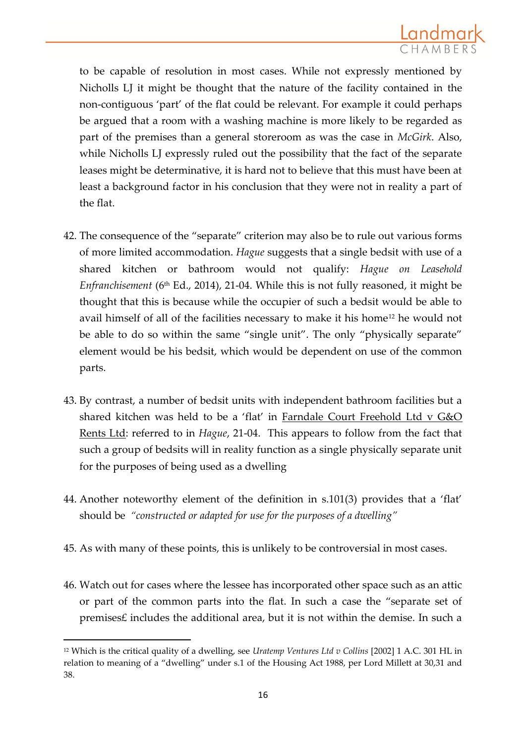

to be capable of resolution in most cases. While not expressly mentioned by Nicholls LJ it might be thought that the nature of the facility contained in the non-contiguous 'part' of the flat could be relevant. For example it could perhaps be argued that a room with a washing machine is more likely to be regarded as part of the premises than a general storeroom as was the case in *McGirk*. Also, while Nicholls LJ expressly ruled out the possibility that the fact of the separate leases might be determinative, it is hard not to believe that this must have been at least a background factor in his conclusion that they were not in reality a part of the flat.

- 42. The consequence of the "separate" criterion may also be to rule out various forms of more limited accommodation. *Hague* suggests that a single bedsit with use of a shared kitchen or bathroom would not qualify: *Hague on Leasehold Enfranchisement* (6<sup>th</sup> Ed., 2014), 21-04. While this is not fully reasoned, it might be thought that this is because while the occupier of such a bedsit would be able to avail himself of all of the facilities necessary to make it his home<sup>12</sup> he would not be able to do so within the same "single unit". The only "physically separate" element would be his bedsit, which would be dependent on use of the common parts.
- 43. By contrast, a number of bedsit units with independent bathroom facilities but a shared kitchen was held to be a 'flat' in Farndale Court Freehold Ltd v G&O Rents Ltd: referred to in *Hague*, 21-04. This appears to follow from the fact that such a group of bedsits will in reality function as a single physically separate unit for the purposes of being used as a dwelling
- 44. Another noteworthy element of the definition in s.101(3) provides that a 'flat' should be *"constructed or adapted for use for the purposes of a dwelling"*
- 45. As with many of these points, this is unlikely to be controversial in most cases.
- 46. Watch out for cases where the lessee has incorporated other space such as an attic or part of the common parts into the flat. In such a case the "separate set of premises£ includes the additional area, but it is not within the demise. In such a

<sup>12</sup> Which is the critical quality of a dwelling, see *Uratemp Ventures Ltd v Collins* [2002] 1 A.C. 301 HL in relation to meaning of a "dwelling" under s.1 of the Housing Act 1988, per Lord Millett at 30,31 and 38.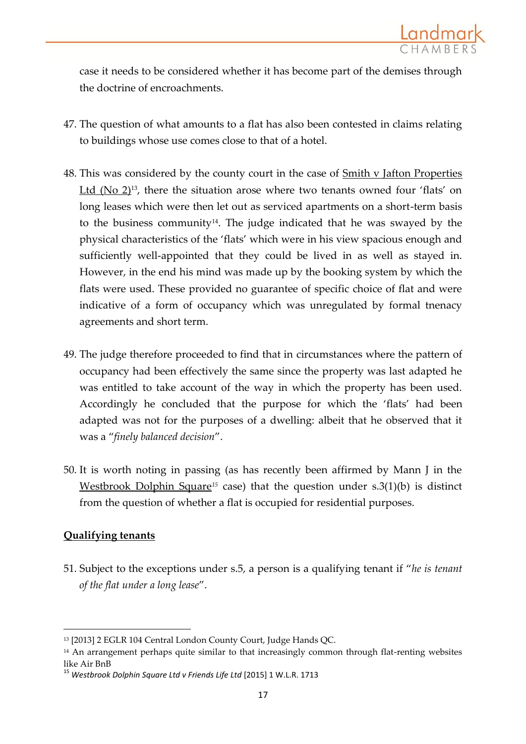

case it needs to be considered whether it has become part of the demises through the doctrine of encroachments.

- 47. The question of what amounts to a flat has also been contested in claims relating to buildings whose use comes close to that of a hotel.
- 48. This was considered by the county court in the case of  $Smith v$  Jafton Properties Ltd (No  $2$ )<sup>13</sup>, there the situation arose where two tenants owned four 'flats' on long leases which were then let out as serviced apartments on a short-term basis to the business community<sup>14</sup>. The judge indicated that he was swayed by the physical characteristics of the 'flats' which were in his view spacious enough and sufficiently well-appointed that they could be lived in as well as stayed in. However, in the end his mind was made up by the booking system by which the flats were used. These provided no guarantee of specific choice of flat and were indicative of a form of occupancy which was unregulated by formal tnenacy agreements and short term.
- 49. The judge therefore proceeded to find that in circumstances where the pattern of occupancy had been effectively the same since the property was last adapted he was entitled to take account of the way in which the property has been used. Accordingly he concluded that the purpose for which the 'flats' had been adapted was not for the purposes of a dwelling: albeit that he observed that it was a "*finely balanced decision*".
- 50. It is worth noting in passing (as has recently been affirmed by Mann J in the Westbrook Dolphin Square*<sup>15</sup>* case) that the question under s.3(1)(b) is distinct from the question of whether a flat is occupied for residential purposes.

#### **Qualifying tenants**

**.** 

51. Subject to the exceptions under s.5, a person is a qualifying tenant if "*he is tenant of the flat under a long lease*".

<sup>13</sup> [2013] 2 EGLR 104 Central London County Court, Judge Hands QC.

<sup>&</sup>lt;sup>14</sup> An arrangement perhaps quite similar to that increasingly common through flat-renting websites like Air BnB

<sup>15</sup> *Westbrook Dolphin Square Ltd v Friends Life Ltd* [2015] 1 W.L.R. 1713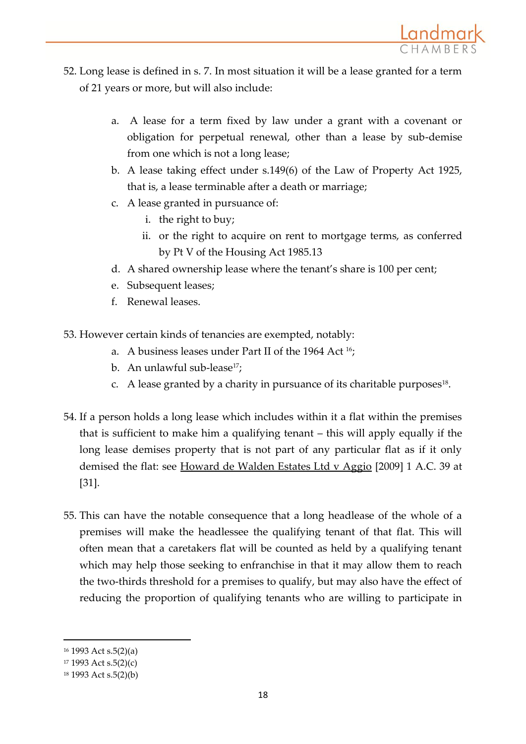

- 52. Long lease is defined in s. 7. In most situation it will be a lease granted for a term of 21 years or more, but will also include:
	- a. A lease for a term fixed by law under a grant with a covenant or obligation for perpetual renewal, other than a lease by sub-demise from one which is not a long lease;
	- b. A lease taking effect under s.149(6) of the Law of Property Act 1925, that is, a lease terminable after a death or marriage;
	- c. A lease granted in pursuance of:
		- i. the right to buy;
		- ii. or the right to acquire on rent to mortgage terms, as conferred by Pt V of the Housing Act 1985.13
	- d. A shared ownership lease where the tenant's share is 100 per cent;
	- e. Subsequent leases;
	- f. Renewal leases.
- 53. However certain kinds of tenancies are exempted, notably:
	- a. A business leases under Part II of the 1964 Act 16;
	- b. An unlawful sub-lease<sup>17</sup>;
	- c. A lease granted by a charity in pursuance of its charitable purposes $^{18}$ .
- 54. If a person holds a long lease which includes within it a flat within the premises that is sufficient to make him a qualifying tenant – this will apply equally if the long lease demises property that is not part of any particular flat as if it only demised the flat: see Howard de Walden Estates Ltd v Aggio [2009] 1 A.C. 39 at [31].
- 55. This can have the notable consequence that a long headlease of the whole of a premises will make the headlessee the qualifying tenant of that flat. This will often mean that a caretakers flat will be counted as held by a qualifying tenant which may help those seeking to enfranchise in that it may allow them to reach the two-thirds threshold for a premises to qualify, but may also have the effect of reducing the proportion of qualifying tenants who are willing to participate in

<sup>16</sup> 1993 Act s.5(2)(a)

<sup>17</sup> 1993 Act s.5(2)(c)

<sup>18</sup> 1993 Act s.5(2)(b)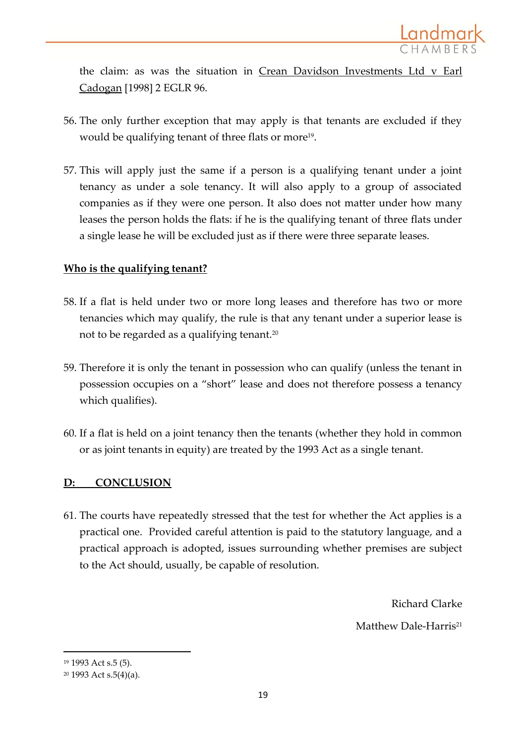

the claim: as was the situation in Crean Davidson Investments Ltd v Earl Cadogan [1998] 2 EGLR 96.

- 56. The only further exception that may apply is that tenants are excluded if they would be qualifying tenant of three flats or more<sup>19</sup>.
- 57. This will apply just the same if a person is a qualifying tenant under a joint tenancy as under a sole tenancy. It will also apply to a group of associated companies as if they were one person. It also does not matter under how many leases the person holds the flats: if he is the qualifying tenant of three flats under a single lease he will be excluded just as if there were three separate leases.

### **Who is the qualifying tenant?**

- 58. If a flat is held under two or more long leases and therefore has two or more tenancies which may qualify, the rule is that any tenant under a superior lease is not to be regarded as a qualifying tenant.<sup>20</sup>
- 59. Therefore it is only the tenant in possession who can qualify (unless the tenant in possession occupies on a "short" lease and does not therefore possess a tenancy which qualifies).
- 60. If a flat is held on a joint tenancy then the tenants (whether they hold in common or as joint tenants in equity) are treated by the 1993 Act as a single tenant.

## **D: CONCLUSION**

61. The courts have repeatedly stressed that the test for whether the Act applies is a practical one. Provided careful attention is paid to the statutory language, and a practical approach is adopted, issues surrounding whether premises are subject to the Act should, usually, be capable of resolution.

> Richard Clarke Matthew Dale-Harris<sup>21</sup>

<sup>19</sup> 1993 Act s.5 (5).

<sup>20</sup> 1993 Act s.5(4)(a).